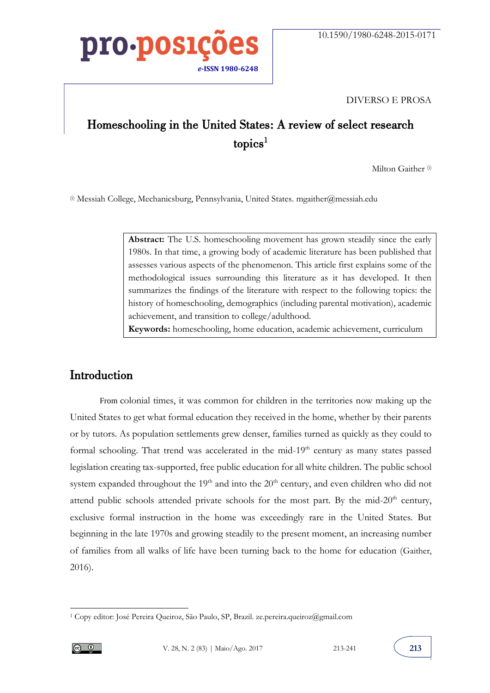

#### DIVERSO E PROSA

### Homeschooling in the United States: A review of select research  $t$ opics<sup>1</sup>

Milton Gaither<sup>(i)</sup>

(i) Messiah College, Mechanicsburg, Pennsylvania, United States[. mgaither@messiah.edu](mailto:mgaither@messiah.edu)

Abstract: The U.S. homeschooling movement has grown steadily since the early 1980s. In that time, a growing body of academic literature has been published that assesses various aspects of the phenomenon. This article first explains some of the methodological issues surrounding this literature as it has developed. It then summarizes the findings of the literature with respect to the following topics: the history of homeschooling, demographics (including parental motivation), academic achievement, and transition to college/adulthood.

**Keywords:** homeschooling, home education, academic achievement, curriculum

#### Introduction

From colonial times, it was common for children in the territories now making up the United States to get what formal education they received in the home, whether by their parents or by tutors. As population settlements grew denser, families turned as quickly as they could to formal schooling. That trend was accelerated in the mid-19<sup>th</sup> century as many states passed legislation creating tax-supported, free public education for all white children. The public school system expanded throughout the  $19<sup>th</sup>$  and into the  $20<sup>th</sup>$  century, and even children who did not attend public schools attended private schools for the most part. By the mid- $20<sup>th</sup>$  century, exclusive formal instruction in the home was exceedingly rare in the United States. But beginning in the late 1970s and growing steadily to the present moment, an increasing number of families from all walks of life have been turning back to the home for education (Gaither, 2016).

 $\overline{a}$ 



<sup>1</sup> Copy editor: José Pereira Queiroz, São Paulo, SP, Brazil. ze.pereira.queiroz@gmail.com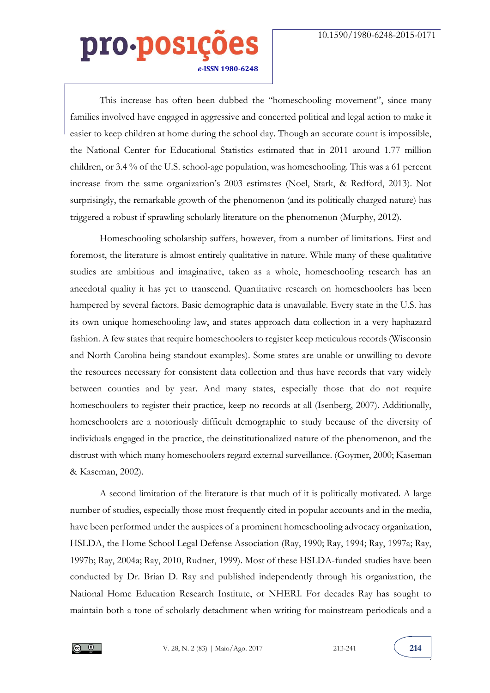This increase has often been dubbed the "homeschooling movement", since many families involved have engaged in aggressive and concerted political and legal action to make it easier to keep children at home during the school day. Though an accurate count is impossible, the National Center for Educational Statistics estimated that in 2011 around 1.77 million children, or 3.4 % of the U.S. school-age population, was homeschooling. This was a 61 percent increase from the same organization's 2003 estimates (Noel, Stark, & Redford, 2013). Not surprisingly, the remarkable growth of the phenomenon (and its politically charged nature) has triggered a robust if sprawling scholarly literature on the phenomenon (Murphy, 2012).

Homeschooling scholarship suffers, however, from a number of limitations. First and foremost, the literature is almost entirely qualitative in nature. While many of these qualitative studies are ambitious and imaginative, taken as a whole, homeschooling research has an anecdotal quality it has yet to transcend. Quantitative research on homeschoolers has been hampered by several factors. Basic demographic data is unavailable. Every state in the U.S. has its own unique homeschooling law, and states approach data collection in a very haphazard fashion. A few states that require homeschoolers to register keep meticulous records (Wisconsin and North Carolina being standout examples). Some states are unable or unwilling to devote the resources necessary for consistent data collection and thus have records that vary widely between counties and by year. And many states, especially those that do not require homeschoolers to register their practice, keep no records at all (Isenberg, 2007). Additionally, homeschoolers are a notoriously difficult demographic to study because of the diversity of individuals engaged in the practice, the deinstitutionalized nature of the phenomenon, and the distrust with which many homeschoolers regard external surveillance. (Goymer, 2000; Kaseman & Kaseman, 2002).

A second limitation of the literature is that much of it is politically motivated. A large number of studies, especially those most frequently cited in popular accounts and in the media, have been performed under the auspices of a prominent homeschooling advocacy organization, HSLDA, the Home School Legal Defense Association (Ray, 1990; Ray, 1994; Ray, 1997a; Ray, 1997b; Ray, 2004a; Ray, 2010, Rudner, 1999). Most of these HSLDA-funded studies have been conducted by Dr. Brian D. Ray and published independently through his organization, the National Home Education Research Institute, or NHERI. For decades Ray has sought to maintain both a tone of scholarly detachment when writing for mainstream periodicals and a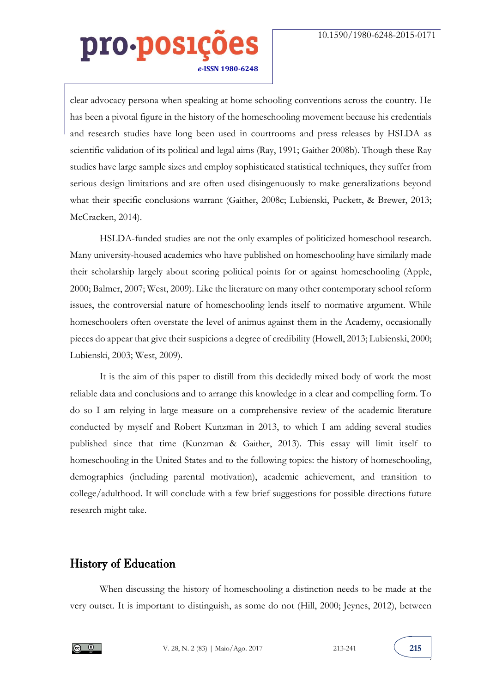clear advocacy persona when speaking at home schooling conventions across the country. He has been a pivotal figure in the history of the homeschooling movement because his credentials and research studies have long been used in courtrooms and press releases by HSLDA as scientific validation of its political and legal aims (Ray, 1991; Gaither 2008b). Though these Ray studies have large sample sizes and employ sophisticated statistical techniques, they suffer from serious design limitations and are often used disingenuously to make generalizations beyond what their specific conclusions warrant (Gaither, 2008c; Lubienski, Puckett, & Brewer, 2013; McCracken, 2014).

HSLDA-funded studies are not the only examples of politicized homeschool research. Many university-housed academics who have published on homeschooling have similarly made their scholarship largely about scoring political points for or against homeschooling (Apple, 2000; Balmer, 2007; West, 2009). Like the literature on many other contemporary school reform issues, the controversial nature of homeschooling lends itself to normative argument. While homeschoolers often overstate the level of animus against them in the Academy, occasionally pieces do appear that give their suspicions a degree of credibility (Howell, 2013; Lubienski, 2000; Lubienski, 2003; West, 2009).

It is the aim of this paper to distill from this decidedly mixed body of work the most reliable data and conclusions and to arrange this knowledge in a clear and compelling form. To do so I am relying in large measure on a comprehensive review of the academic literature conducted by myself and Robert Kunzman in 2013, to which I am adding several studies published since that time (Kunzman & Gaither, 2013). This essay will limit itself to homeschooling in the United States and to the following topics: the history of homeschooling, demographics (including parental motivation), academic achievement, and transition to college/adulthood. It will conclude with a few brief suggestions for possible directions future research might take.

#### History of Education

When discussing the history of homeschooling a distinction needs to be made at the very outset. It is important to distinguish, as some do not (Hill, 2000; Jeynes, 2012), between

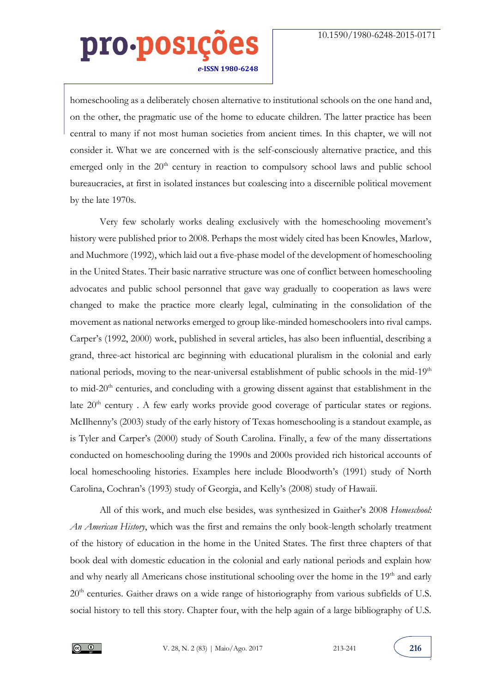homeschooling as a deliberately chosen alternative to institutional schools on the one hand and, on the other, the pragmatic use of the home to educate children. The latter practice has been central to many if not most human societies from ancient times. In this chapter, we will not consider it. What we are concerned with is the self-consciously alternative practice, and this emerged only in the  $20<sup>th</sup>$  century in reaction to compulsory school laws and public school bureaucracies, at first in isolated instances but coalescing into a discernible political movement by the late 1970s.

Very few scholarly works dealing exclusively with the homeschooling movement's history were published prior to 2008. Perhaps the most widely cited has been Knowles, Marlow, and Muchmore (1992), which laid out a five-phase model of the development of homeschooling in the United States. Their basic narrative structure was one of conflict between homeschooling advocates and public school personnel that gave way gradually to cooperation as laws were changed to make the practice more clearly legal, culminating in the consolidation of the movement as national networks emerged to group like-minded homeschoolers into rival camps. Carper's (1992, 2000) work, published in several articles, has also been influential, describing a grand, three-act historical arc beginning with educational pluralism in the colonial and early national periods, moving to the near-universal establishment of public schools in the mid-19<sup>th</sup> to mid-20<sup>th</sup> centuries, and concluding with a growing dissent against that establishment in the late  $20<sup>th</sup>$  century . A few early works provide good coverage of particular states or regions. McIlhenny's (2003) study of the early history of Texas homeschooling is a standout example, as is Tyler and Carper's (2000) study of South Carolina. Finally, a few of the many dissertations conducted on homeschooling during the 1990s and 2000s provided rich historical accounts of local homeschooling histories. Examples here include Bloodworth's (1991) study of North Carolina, Cochran's (1993) study of Georgia, and Kelly's (2008) study of Hawaii.

All of this work, and much else besides, was synthesized in Gaither's 2008 *Homeschool: An American History*, which was the first and remains the only book-length scholarly treatment of the history of education in the home in the United States. The first three chapters of that book deal with domestic education in the colonial and early national periods and explain how and why nearly all Americans chose institutional schooling over the home in the 19<sup>th</sup> and early 20<sup>th</sup> centuries. Gaither draws on a wide range of historiography from various subfields of U.S. social history to tell this story. Chapter four, with the help again of a large bibliography of U.S.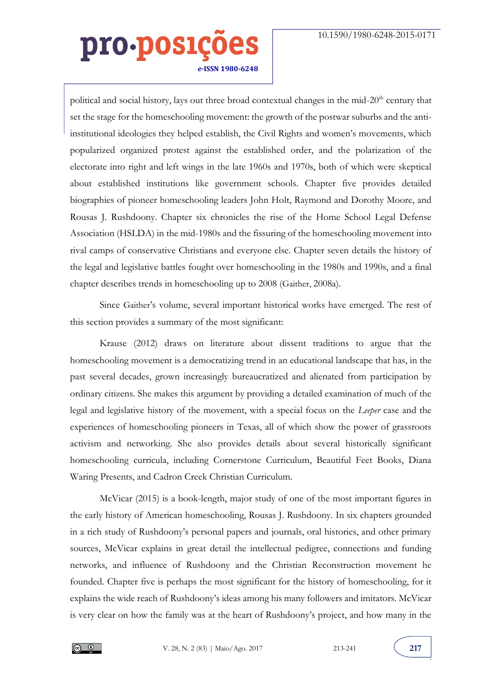political and social history, lays out three broad contextual changes in the mid-20<sup>th</sup> century that set the stage for the homeschooling movement: the growth of the postwar suburbs and the antiinstitutional ideologies they helped establish, the Civil Rights and women's movements, which popularized organized protest against the established order, and the polarization of the electorate into right and left wings in the late 1960s and 1970s, both of which were skeptical about established institutions like government schools. Chapter five provides detailed biographies of pioneer homeschooling leaders John Holt, Raymond and Dorothy Moore, and Rousas J. Rushdoony. Chapter six chronicles the rise of the Home School Legal Defense Association (HSLDA) in the mid-1980s and the fissuring of the homeschooling movement into rival camps of conservative Christians and everyone else. Chapter seven details the history of the legal and legislative battles fought over homeschooling in the 1980s and 1990s, and a final chapter describes trends in homeschooling up to 2008 (Gaither, 2008a).

Since Gaither's volume, several important historical works have emerged. The rest of this section provides a summary of the most significant:

Krause (2012) draws on literature about dissent traditions to argue that the homeschooling movement is a democratizing trend in an educational landscape that has, in the past several decades, grown increasingly bureaucratized and alienated from participation by ordinary citizens. She makes this argument by providing a detailed examination of much of the legal and legislative history of the movement, with a special focus on the *Leeper* case and the experiences of homeschooling pioneers in Texas, all of which show the power of grassroots activism and networking. She also provides details about several historically significant homeschooling curricula, including Cornerstone Curriculum, Beautiful Feet Books, Diana Waring Presents, and Cadron Creek Christian Curriculum.

McVicar (2015) is a book-length, major study of one of the most important figures in the early history of American homeschooling, Rousas J. Rushdoony. In six chapters grounded in a rich study of Rushdoony's personal papers and journals, oral histories, and other primary sources, McVicar explains in great detail the intellectual pedigree, connections and funding networks, and influence of Rushdoony and the Christian Reconstruction movement he founded. Chapter five is perhaps the most significant for the history of homeschooling, for it explains the wide reach of Rushdoony's ideas among his many followers and imitators. McVicar is very clear on how the family was at the heart of Rushdoony's project, and how many in the

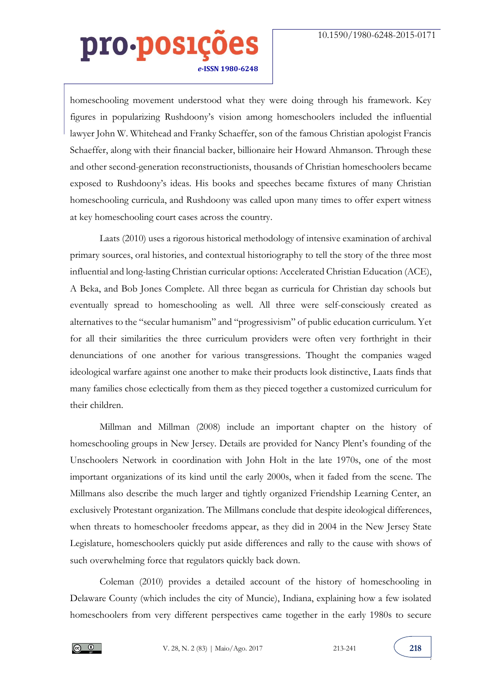homeschooling movement understood what they were doing through his framework. Key figures in popularizing Rushdoony's vision among homeschoolers included the influential lawyer John W. Whitehead and Franky Schaeffer, son of the famous Christian apologist Francis Schaeffer, along with their financial backer, billionaire heir Howard Ahmanson. Through these and other second-generation reconstructionists, thousands of Christian homeschoolers became exposed to Rushdoony's ideas. His books and speeches became fixtures of many Christian homeschooling curricula, and Rushdoony was called upon many times to offer expert witness at key homeschooling court cases across the country.

Laats (2010) uses a rigorous historical methodology of intensive examination of archival primary sources, oral histories, and contextual historiography to tell the story of the three most influential and long-lasting Christian curricular options: Accelerated Christian Education (ACE), A Beka, and Bob Jones Complete. All three began as curricula for Christian day schools but eventually spread to homeschooling as well. All three were self-consciously created as alternatives to the "secular humanism" and "progressivism" of public education curriculum. Yet for all their similarities the three curriculum providers were often very forthright in their denunciations of one another for various transgressions. Thought the companies waged ideological warfare against one another to make their products look distinctive, Laats finds that many families chose eclectically from them as they pieced together a customized curriculum for their children.

Millman and Millman (2008) include an important chapter on the history of homeschooling groups in New Jersey. Details are provided for Nancy Plent's founding of the Unschoolers Network in coordination with John Holt in the late 1970s, one of the most important organizations of its kind until the early 2000s, when it faded from the scene. The Millmans also describe the much larger and tightly organized Friendship Learning Center, an exclusively Protestant organization. The Millmans conclude that despite ideological differences, when threats to homeschooler freedoms appear, as they did in 2004 in the New Jersey State Legislature, homeschoolers quickly put aside differences and rally to the cause with shows of such overwhelming force that regulators quickly back down.

Coleman (2010) provides a detailed account of the history of homeschooling in Delaware County (which includes the city of Muncie), Indiana, explaining how a few isolated homeschoolers from very different perspectives came together in the early 1980s to secure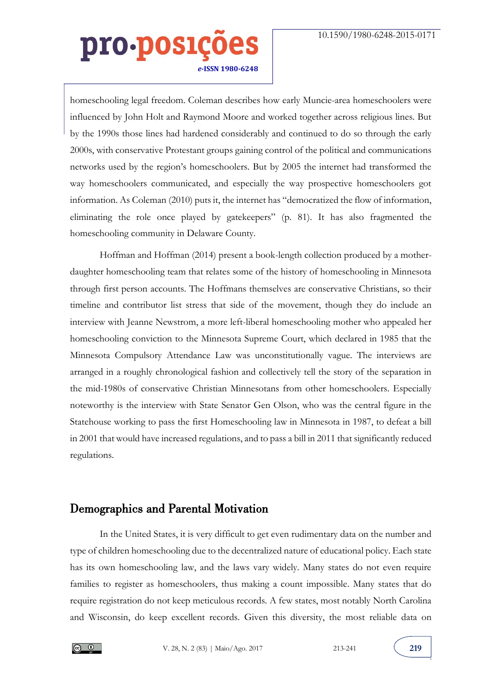homeschooling legal freedom. Coleman describes how early Muncie-area homeschoolers were influenced by John Holt and Raymond Moore and worked together across religious lines. But by the 1990s those lines had hardened considerably and continued to do so through the early 2000s, with conservative Protestant groups gaining control of the political and communications networks used by the region's homeschoolers. But by 2005 the internet had transformed the way homeschoolers communicated, and especially the way prospective homeschoolers got information. As Coleman (2010) puts it, the internet has "democratized the flow of information, eliminating the role once played by gatekeepers" (p. 81). It has also fragmented the homeschooling community in Delaware County.

Hoffman and Hoffman (2014) present a book-length collection produced by a motherdaughter homeschooling team that relates some of the history of homeschooling in Minnesota through first person accounts. The Hoffmans themselves are conservative Christians, so their timeline and contributor list stress that side of the movement, though they do include an interview with Jeanne Newstrom, a more left-liberal homeschooling mother who appealed her homeschooling conviction to the Minnesota Supreme Court, which declared in 1985 that the Minnesota Compulsory Attendance Law was unconstitutionally vague. The interviews are arranged in a roughly chronological fashion and collectively tell the story of the separation in the mid-1980s of conservative Christian Minnesotans from other homeschoolers. Especially noteworthy is the interview with State Senator Gen Olson, who was the central figure in the Statehouse working to pass the first Homeschooling law in Minnesota in 1987, to defeat a bill in 2001 that would have increased regulations, and to pass a bill in 2011 that significantly reduced regulations.

#### Demographics and Parental Motivation

In the United States, it is very difficult to get even rudimentary data on the number and type of children homeschooling due to the decentralized nature of educational policy. Each state has its own homeschooling law, and the laws vary widely. Many states do not even require families to register as homeschoolers, thus making a count impossible. Many states that do require registration do not keep meticulous records. A few states, most notably North Carolina and Wisconsin, do keep excellent records. Given this diversity, the most reliable data on

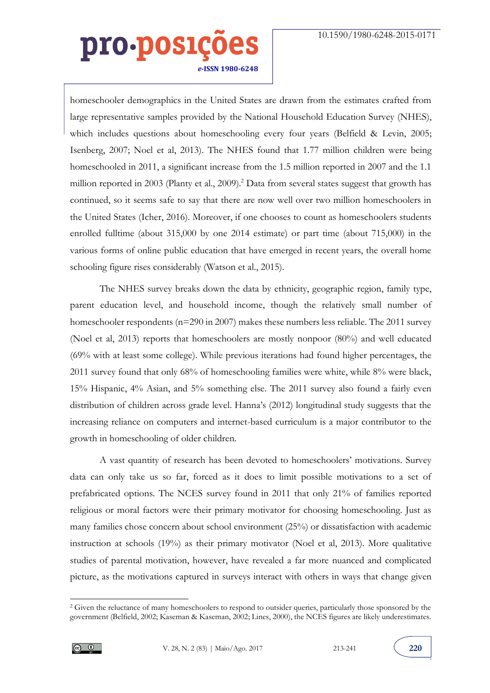homeschooler demographics in the United States are drawn from the estimates crafted from large representative samples provided by the National Household Education Survey (NHES), which includes questions about homeschooling every four years (Belfield & Levin, 2005; Isenberg, 2007; Noel et al, 2013). The NHES found that 1.77 million children were being homeschooled in 2011, a significant increase from the 1.5 million reported in 2007 and the 1.1 million reported in 2003 (Planty et al., 2009).<sup>2</sup> Data from several states suggest that growth has continued, so it seems safe to say that there are now well over two million homeschoolers in the United States (Icher, 2016). Moreover, if one chooses to count as homeschoolers students enrolled fulltime (about 315,000 by one 2014 estimate) or part time (about 715,000) in the various forms of online public education that have emerged in recent years, the overall home schooling figure rises considerably (Watson et al., 2015).

The NHES survey breaks down the data by ethnicity, geographic region, family type, parent education level, and household income, though the relatively small number of homeschooler respondents (n=290 in 2007) makes these numbers less reliable. The 2011 survey (Noel et al, 2013) reports that homeschoolers are mostly nonpoor (80%) and well educated (69% with at least some college). While previous iterations had found higher percentages, the 2011 survey found that only 68% of homeschooling families were white, while 8% were black, 15% Hispanic, 4% Asian, and 5% something else. The 2011 survey also found a fairly even distribution of children across grade level. Hanna's (2012) longitudinal study suggests that the increasing reliance on computers and internet-based curriculum is a major contributor to the growth in homeschooling of older children.

A vast quantity of research has been devoted to homeschoolers' motivations. Survey data can only take us so far, forced as it does to limit possible motivations to a set of prefabricated options. The NCES survey found in 2011 that only 21% of families reported religious or moral factors were their primary motivator for choosing homeschooling. Just as many families chose concern about school environment (25%) or dissatisfaction with academic instruction at schools (19%) as their primary motivator (Noel et al, 2013). More qualitative studies of parental motivation, however, have revealed a far more nuanced and complicated picture, as the motivations captured in surveys interact with others in ways that change given

 $\overline{a}$ 



<sup>&</sup>lt;sup>2</sup> Given the reluctance of many homeschoolers to respond to outsider queries, particularly those sponsored by the government (Belfield, 2002; Kaseman & Kaseman, 2002; Lines, 2000), the NCES figures are likely underestimates.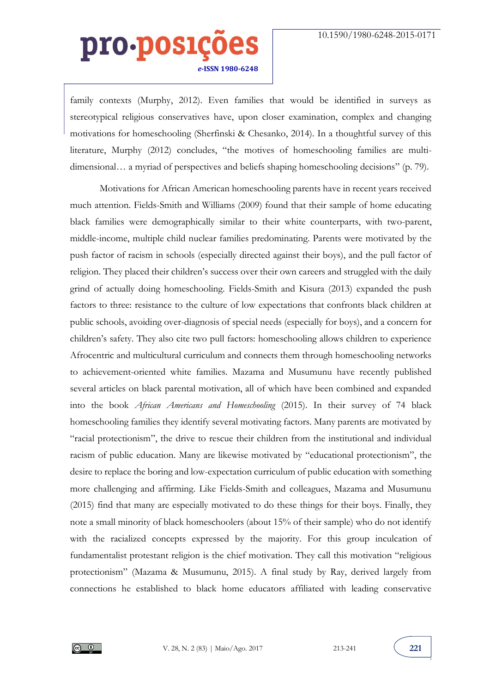family contexts (Murphy, 2012). Even families that would be identified in surveys as stereotypical religious conservatives have, upon closer examination, complex and changing motivations for homeschooling (Sherfinski & Chesanko, 2014). In a thoughtful survey of this literature, Murphy (2012) concludes, "the motives of homeschooling families are multidimensional... a myriad of perspectives and beliefs shaping homeschooling decisions" (p. 79).

Motivations for African American homeschooling parents have in recent years received much attention. Fields-Smith and Williams (2009) found that their sample of home educating black families were demographically similar to their white counterparts, with two-parent, middle-income, multiple child nuclear families predominating. Parents were motivated by the push factor of racism in schools (especially directed against their boys), and the pull factor of religion. They placed their children's success over their own careers and struggled with the daily grind of actually doing homeschooling. Fields-Smith and Kisura (2013) expanded the push factors to three: resistance to the culture of low expectations that confronts black children at public schools, avoiding over-diagnosis of special needs (especially for boys), and a concern for children's safety. They also cite two pull factors: homeschooling allows children to experience Afrocentric and multicultural curriculum and connects them through homeschooling networks to achievement-oriented white families. Mazama and Musumunu have recently published several articles on black parental motivation, all of which have been combined and expanded into the book *African Americans and Homeschooling* (2015). In their survey of 74 black homeschooling families they identify several motivating factors. Many parents are motivated by "racial protectionism", the drive to rescue their children from the institutional and individual racism of public education. Many are likewise motivated by "educational protectionism", the desire to replace the boring and low-expectation curriculum of public education with something more challenging and affirming. Like Fields-Smith and colleagues, Mazama and Musumunu (2015) find that many are especially motivated to do these things for their boys. Finally, they note a small minority of black homeschoolers (about 15% of their sample) who do not identify with the racialized concepts expressed by the majority. For this group inculcation of fundamentalist protestant religion is the chief motivation. They call this motivation "religious protectionism" (Mazama & Musumunu, 2015). A final study by Ray, derived largely from connections he established to black home educators affiliated with leading conservative



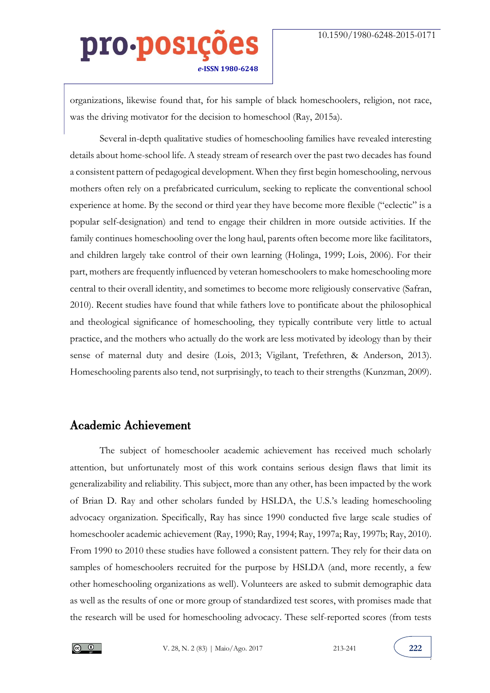organizations, likewise found that, for his sample of black homeschoolers, religion, not race, was the driving motivator for the decision to homeschool (Ray, 2015a).

Several in-depth qualitative studies of homeschooling families have revealed interesting details about home-school life. A steady stream of research over the past two decades has found a consistent pattern of pedagogical development. When they first begin homeschooling, nervous mothers often rely on a prefabricated curriculum, seeking to replicate the conventional school experience at home. By the second or third year they have become more flexible ("eclectic" is a popular self-designation) and tend to engage their children in more outside activities. If the family continues homeschooling over the long haul, parents often become more like facilitators, and children largely take control of their own learning (Holinga, 1999; Lois, 2006). For their part, mothers are frequently influenced by veteran homeschoolers to make homeschooling more central to their overall identity, and sometimes to become more religiously conservative (Safran, 2010). Recent studies have found that while fathers love to pontificate about the philosophical and theological significance of homeschooling, they typically contribute very little to actual practice, and the mothers who actually do the work are less motivated by ideology than by their sense of maternal duty and desire (Lois, 2013; Vigilant, Trefethren, & Anderson, 2013). Homeschooling parents also tend, not surprisingly, to teach to their strengths (Kunzman, 2009).

#### Academic Achievement

The subject of homeschooler academic achievement has received much scholarly attention, but unfortunately most of this work contains serious design flaws that limit its generalizability and reliability. This subject, more than any other, has been impacted by the work of Brian D. Ray and other scholars funded by HSLDA, the U.S.'s leading homeschooling advocacy organization. Specifically, Ray has since 1990 conducted five large scale studies of homeschooler academic achievement (Ray, 1990; Ray, 1994; Ray, 1997a; Ray, 1997b; Ray, 2010). From 1990 to 2010 these studies have followed a consistent pattern. They rely for their data on samples of homeschoolers recruited for the purpose by HSLDA (and, more recently, a few other homeschooling organizations as well). Volunteers are asked to submit demographic data as well as the results of one or more group of standardized test scores, with promises made that the research will be used for homeschooling advocacy. These self-reported scores (from tests

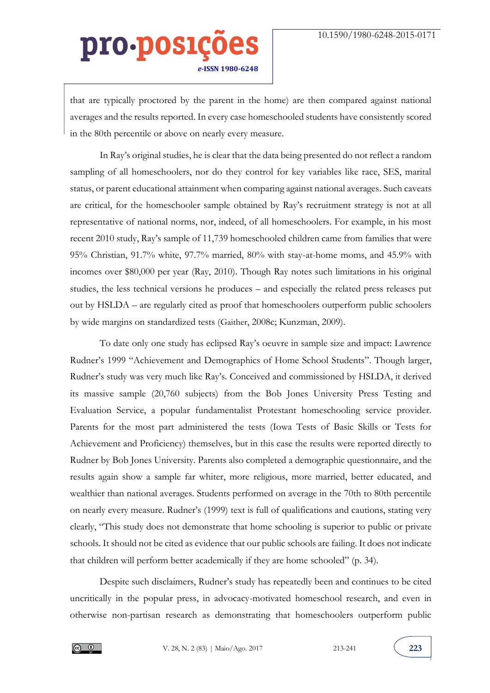that are typically proctored by the parent in the home) are then compared against national averages and the results reported. In every case homeschooled students have consistently scored in the 80th percentile or above on nearly every measure.

In Ray's original studies, he is clear that the data being presented do not reflect a random sampling of all homeschoolers, nor do they control for key variables like race, SES, marital status, or parent educational attainment when comparing against national averages. Such caveats are critical, for the homeschooler sample obtained by Ray's recruitment strategy is not at all representative of national norms, nor, indeed, of all homeschoolers. For example, in his most recent 2010 study, Ray's sample of 11,739 homeschooled children came from families that were 95% Christian, 91.7% white, 97.7% married, 80% with stay-at-home moms, and 45.9% with incomes over \$80,000 per year (Ray, 2010). Though Ray notes such limitations in his original studies, the less technical versions he produces – and especially the related press releases put out by HSLDA – are regularly cited as proof that homeschoolers outperform public schoolers by wide margins on standardized tests (Gaither, 2008c; Kunzman, 2009).

To date only one study has eclipsed Ray's oeuvre in sample size and impact: Lawrence Rudner's 1999 "Achievement and Demographics of Home School Students". Though larger, Rudner's study was very much like Ray's. Conceived and commissioned by HSLDA, it derived its massive sample (20,760 subjects) from the Bob Jones University Press Testing and Evaluation Service, a popular fundamentalist Protestant homeschooling service provider. Parents for the most part administered the tests (Iowa Tests of Basic Skills or Tests for Achievement and Proficiency) themselves, but in this case the results were reported directly to Rudner by Bob Jones University. Parents also completed a demographic questionnaire, and the results again show a sample far whiter, more religious, more married, better educated, and wealthier than national averages. Students performed on average in the 70th to 80th percentile on nearly every measure. Rudner's (1999) text is full of qualifications and cautions, stating very clearly, "This study does not demonstrate that home schooling is superior to public or private schools. It should not be cited as evidence that our public schools are failing. It does not indicate that children will perform better academically if they are home schooled" (p. 34).

Despite such disclaimers, Rudner's study has repeatedly been and continues to be cited uncritically in the popular press, in advocacy-motivated homeschool research, and even in otherwise non-partisan research as demonstrating that homeschoolers outperform public

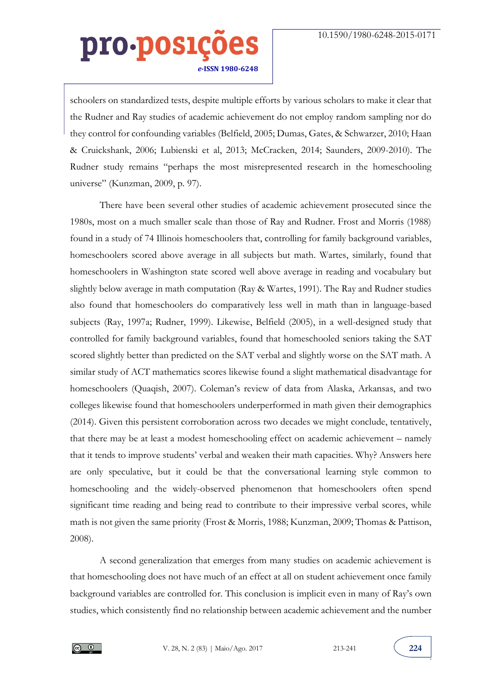schoolers on standardized tests, despite multiple efforts by various scholars to make it clear that the Rudner and Ray studies of academic achievement do not employ random sampling nor do they control for confounding variables (Belfield, 2005; Dumas, Gates, & Schwarzer, 2010; Haan & Cruickshank, 2006; Lubienski et al, 2013; McCracken, 2014; Saunders, 2009-2010). The Rudner study remains "perhaps the most misrepresented research in the homeschooling universe" (Kunzman, 2009, p. 97).

There have been several other studies of academic achievement prosecuted since the 1980s, most on a much smaller scale than those of Ray and Rudner. Frost and Morris (1988) found in a study of 74 Illinois homeschoolers that, controlling for family background variables, homeschoolers scored above average in all subjects but math. Wartes, similarly, found that homeschoolers in Washington state scored well above average in reading and vocabulary but slightly below average in math computation (Ray & Wartes, 1991). The Ray and Rudner studies also found that homeschoolers do comparatively less well in math than in language-based subjects (Ray, 1997a; Rudner, 1999). Likewise, Belfield (2005), in a well-designed study that controlled for family background variables, found that homeschooled seniors taking the SAT scored slightly better than predicted on the SAT verbal and slightly worse on the SAT math. A similar study of ACT mathematics scores likewise found a slight mathematical disadvantage for homeschoolers (Quaqish, 2007). Coleman's review of data from Alaska, Arkansas, and two colleges likewise found that homeschoolers underperformed in math given their demographics (2014). Given this persistent corroboration across two decades we might conclude, tentatively, that there may be at least a modest homeschooling effect on academic achievement – namely that it tends to improve students' verbal and weaken their math capacities. Why? Answers here are only speculative, but it could be that the conversational learning style common to homeschooling and the widely-observed phenomenon that homeschoolers often spend significant time reading and being read to contribute to their impressive verbal scores, while math is not given the same priority (Frost & Morris, 1988; Kunzman, 2009; Thomas & Pattison, 2008).

A second generalization that emerges from many studies on academic achievement is that homeschooling does not have much of an effect at all on student achievement once family background variables are controlled for. This conclusion is implicit even in many of Ray's own studies, which consistently find no relationship between academic achievement and the number

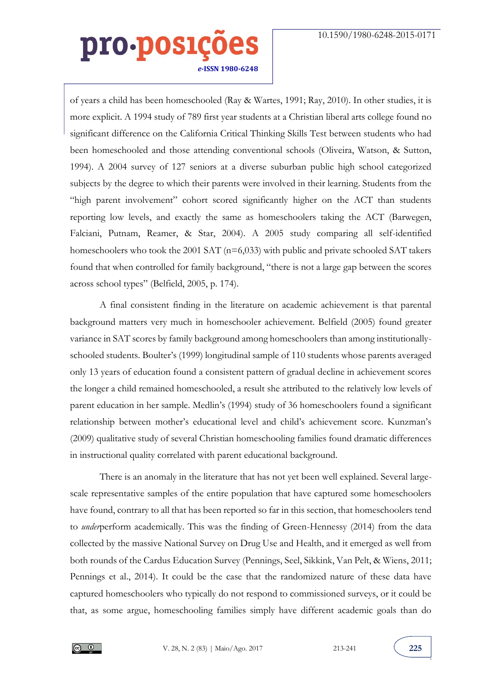of years a child has been homeschooled (Ray & Wartes, 1991; Ray, 2010). In other studies, it is more explicit. A 1994 study of 789 first year students at a Christian liberal arts college found no significant difference on the California Critical Thinking Skills Test between students who had been homeschooled and those attending conventional schools (Oliveira, Watson, & Sutton, 1994). A 2004 survey of 127 seniors at a diverse suburban public high school categorized subjects by the degree to which their parents were involved in their learning. Students from the "high parent involvement" cohort scored significantly higher on the ACT than students reporting low levels, and exactly the same as homeschoolers taking the ACT (Barwegen, Falciani, Putnam, Reamer, & Star, 2004). A 2005 study comparing all self-identified homeschoolers who took the 2001 SAT (n=6,033) with public and private schooled SAT takers found that when controlled for family background, "there is not a large gap between the scores across school types" (Belfield, 2005, p. 174).

A final consistent finding in the literature on academic achievement is that parental background matters very much in homeschooler achievement. Belfield (2005) found greater variance in SAT scores by family background among homeschoolers than among institutionallyschooled students. Boulter's (1999) longitudinal sample of 110 students whose parents averaged only 13 years of education found a consistent pattern of gradual decline in achievement scores the longer a child remained homeschooled, a result she attributed to the relatively low levels of parent education in her sample. Medlin's (1994) study of 36 homeschoolers found a significant relationship between mother's educational level and child's achievement score. Kunzman's (2009) qualitative study of several Christian homeschooling families found dramatic differences in instructional quality correlated with parent educational background.

There is an anomaly in the literature that has not yet been well explained. Several largescale representative samples of the entire population that have captured some homeschoolers have found, contrary to all that has been reported so far in this section, that homeschoolers tend to *under*perform academically. This was the finding of Green-Hennessy (2014) from the data collected by the massive National Survey on Drug Use and Health, and it emerged as well from both rounds of the Cardus Education Survey (Pennings, Seel, Sikkink, Van Pelt, & Wiens, 2011; Pennings et al., 2014). It could be the case that the randomized nature of these data have captured homeschoolers who typically do not respond to commissioned surveys, or it could be that, as some argue, homeschooling families simply have different academic goals than do

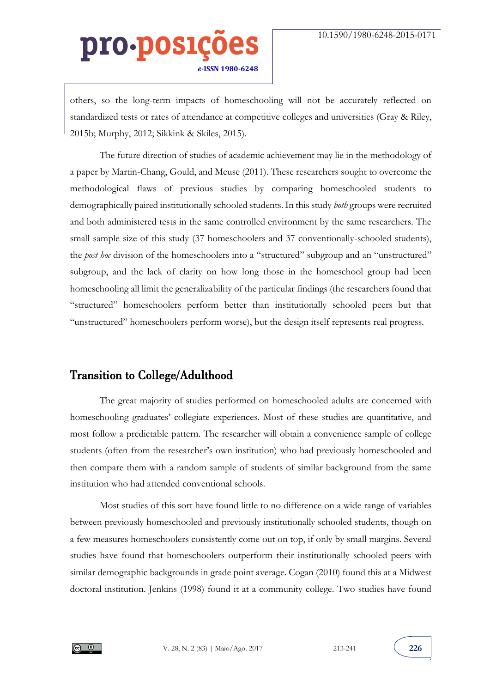others, so the long-term impacts of homeschooling will not be accurately reflected on standardized tests or rates of attendance at competitive colleges and universities (Gray & Riley, 2015b; Murphy, 2012; Sikkink & Skiles, 2015).

The future direction of studies of academic achievement may lie in the methodology of a paper by Martin-Chang, Gould, and Meuse (2011). These researchers sought to overcome the methodological flaws of previous studies by comparing homeschooled students to demographically paired institutionally schooled students. In this study *both* groups were recruited and both administered tests in the same controlled environment by the same researchers. The small sample size of this study (37 homeschoolers and 37 conventionally-schooled students), the *post hoc* division of the homeschoolers into a "structured" subgroup and an "unstructured" subgroup, and the lack of clarity on how long those in the homeschool group had been homeschooling all limit the generalizability of the particular findings (the researchers found that "structured" homeschoolers perform better than institutionally schooled peers but that "unstructured" homeschoolers perform worse), but the design itself represents real progress.

### Transition to College/Adulthood

The great majority of studies performed on homeschooled adults are concerned with homeschooling graduates' collegiate experiences. Most of these studies are quantitative, and most follow a predictable pattern. The researcher will obtain a convenience sample of college students (often from the researcher's own institution) who had previously homeschooled and then compare them with a random sample of students of similar background from the same institution who had attended conventional schools.

Most studies of this sort have found little to no difference on a wide range of variables between previously homeschooled and previously institutionally schooled students, though on a few measures homeschoolers consistently come out on top, if only by small margins. Several studies have found that homeschoolers outperform their institutionally schooled peers with similar demographic backgrounds in grade point average. Cogan (2010) found this at a Midwest doctoral institution. Jenkins (1998) found it at a community college. Two studies have found



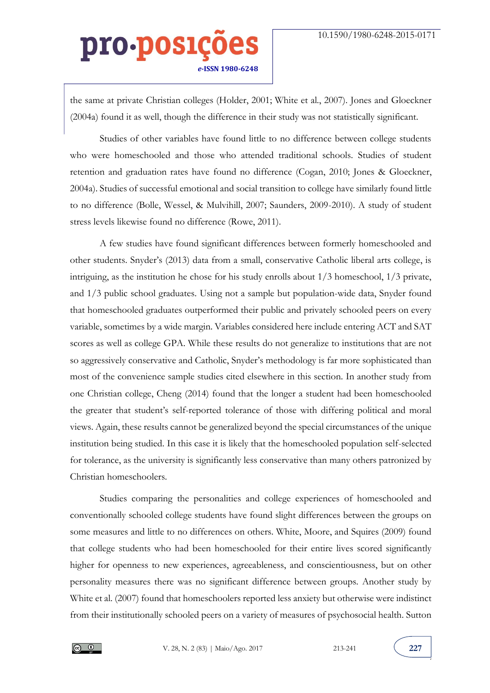the same at private Christian colleges (Holder, 2001; White et al., 2007). Jones and Gloeckner (2004a) found it as well, though the difference in their study was not statistically significant.

Studies of other variables have found little to no difference between college students who were homeschooled and those who attended traditional schools. Studies of student retention and graduation rates have found no difference (Cogan, 2010; Jones & Gloeckner, 2004a). Studies of successful emotional and social transition to college have similarly found little to no difference (Bolle, Wessel, & Mulvihill, 2007; Saunders, 2009-2010). A study of student stress levels likewise found no difference (Rowe, 2011).

A few studies have found significant differences between formerly homeschooled and other students. Snyder's (2013) data from a small, conservative Catholic liberal arts college, is intriguing, as the institution he chose for his study enrolls about 1/3 homeschool, 1/3 private, and 1/3 public school graduates. Using not a sample but population-wide data, Snyder found that homeschooled graduates outperformed their public and privately schooled peers on every variable, sometimes by a wide margin. Variables considered here include entering ACT and SAT scores as well as college GPA. While these results do not generalize to institutions that are not so aggressively conservative and Catholic, Snyder's methodology is far more sophisticated than most of the convenience sample studies cited elsewhere in this section. In another study from one Christian college, Cheng (2014) found that the longer a student had been homeschooled the greater that student's self-reported tolerance of those with differing political and moral views. Again, these results cannot be generalized beyond the special circumstances of the unique institution being studied. In this case it is likely that the homeschooled population self-selected for tolerance, as the university is significantly less conservative than many others patronized by Christian homeschoolers.

Studies comparing the personalities and college experiences of homeschooled and conventionally schooled college students have found slight differences between the groups on some measures and little to no differences on others. White, Moore, and Squires (2009) found that college students who had been homeschooled for their entire lives scored significantly higher for openness to new experiences, agreeableness, and conscientiousness, but on other personality measures there was no significant difference between groups. Another study by White et al. (2007) found that homeschoolers reported less anxiety but otherwise were indistinct from their institutionally schooled peers on a variety of measures of psychosocial health. Sutton

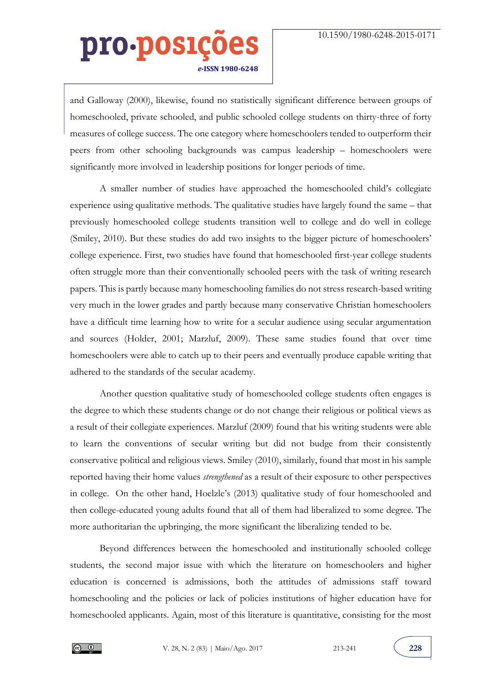and Galloway (2000), likewise, found no statistically significant difference between groups of homeschooled, private schooled, and public schooled college students on thirty-three of forty measures of college success. The one category where homeschoolers tended to outperform their peers from other schooling backgrounds was campus leadership – homeschoolers were significantly more involved in leadership positions for longer periods of time.

A smaller number of studies have approached the homeschooled child's collegiate experience using qualitative methods. The qualitative studies have largely found the same – that previously homeschooled college students transition well to college and do well in college (Smiley, 2010). But these studies do add two insights to the bigger picture of homeschoolers' college experience. First, two studies have found that homeschooled first-year college students often struggle more than their conventionally schooled peers with the task of writing research papers. This is partly because many homeschooling families do not stress research-based writing very much in the lower grades and partly because many conservative Christian homeschoolers have a difficult time learning how to write for a secular audience using secular argumentation and sources (Holder, 2001; Marzluf, 2009). These same studies found that over time homeschoolers were able to catch up to their peers and eventually produce capable writing that adhered to the standards of the secular academy.

Another question qualitative study of homeschooled college students often engages is the degree to which these students change or do not change their religious or political views as a result of their collegiate experiences. Marzluf (2009) found that his writing students were able to learn the conventions of secular writing but did not budge from their consistently conservative political and religious views. Smiley (2010), similarly, found that most in his sample reported having their home values *strengthened* as a result of their exposure to other perspectives in college. On the other hand, Hoelzle's (2013) qualitative study of four homeschooled and then college-educated young adults found that all of them had liberalized to some degree. The more authoritarian the upbringing, the more significant the liberalizing tended to be.

Beyond differences between the homeschooled and institutionally schooled college students, the second major issue with which the literature on homeschoolers and higher education is concerned is admissions, both the attitudes of admissions staff toward homeschooling and the policies or lack of policies institutions of higher education have for homeschooled applicants. Again, most of this literature is quantitative, consisting for the most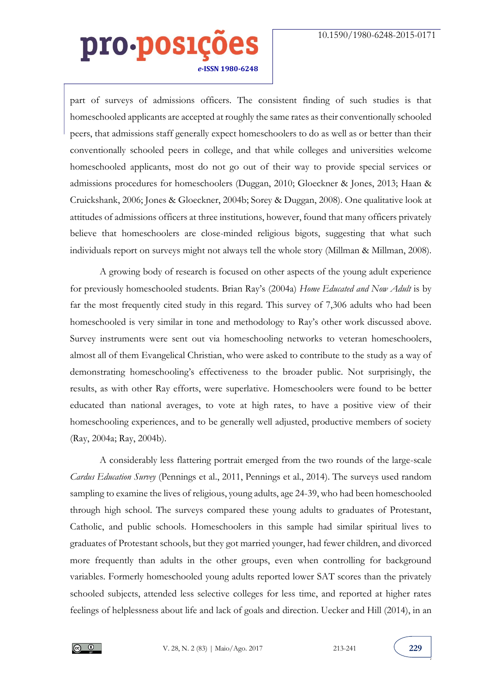part of surveys of admissions officers. The consistent finding of such studies is that homeschooled applicants are accepted at roughly the same rates as their conventionally schooled peers, that admissions staff generally expect homeschoolers to do as well as or better than their conventionally schooled peers in college, and that while colleges and universities welcome homeschooled applicants, most do not go out of their way to provide special services or admissions procedures for homeschoolers (Duggan, 2010; Gloeckner & Jones, 2013; Haan & Cruickshank, 2006; Jones & Gloeckner, 2004b; Sorey & Duggan, 2008). One qualitative look at attitudes of admissions officers at three institutions, however, found that many officers privately believe that homeschoolers are close-minded religious bigots, suggesting that what such individuals report on surveys might not always tell the whole story (Millman & Millman, 2008).

A growing body of research is focused on other aspects of the young adult experience for previously homeschooled students. Brian Ray's (2004a) *Home Educated and Now Adult* is by far the most frequently cited study in this regard. This survey of 7,306 adults who had been homeschooled is very similar in tone and methodology to Ray's other work discussed above. Survey instruments were sent out via homeschooling networks to veteran homeschoolers, almost all of them Evangelical Christian, who were asked to contribute to the study as a way of demonstrating homeschooling's effectiveness to the broader public. Not surprisingly, the results, as with other Ray efforts, were superlative. Homeschoolers were found to be better educated than national averages, to vote at high rates, to have a positive view of their homeschooling experiences, and to be generally well adjusted, productive members of society (Ray, 2004a; Ray, 2004b).

A considerably less flattering portrait emerged from the two rounds of the large-scale *Cardus Education Survey* (Pennings et al., 2011, Pennings et al., 2014). The surveys used random sampling to examine the lives of religious, young adults, age 24-39, who had been homeschooled through high school. The surveys compared these young adults to graduates of Protestant, Catholic, and public schools. Homeschoolers in this sample had similar spiritual lives to graduates of Protestant schools, but they got married younger, had fewer children, and divorced more frequently than adults in the other groups, even when controlling for background variables. Formerly homeschooled young adults reported lower SAT scores than the privately schooled subjects, attended less selective colleges for less time, and reported at higher rates feelings of helplessness about life and lack of goals and direction. Uecker and Hill (2014), in an

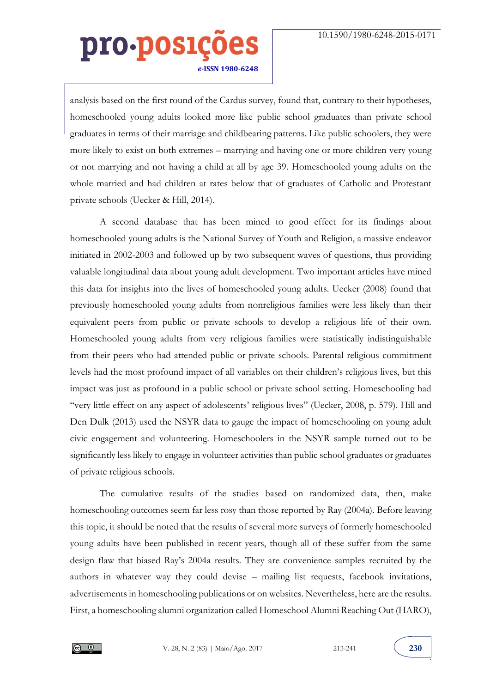analysis based on the first round of the Cardus survey, found that, contrary to their hypotheses, homeschooled young adults looked more like public school graduates than private school graduates in terms of their marriage and childbearing patterns. Like public schoolers, they were more likely to exist on both extremes – marrying and having one or more children very young or not marrying and not having a child at all by age 39. Homeschooled young adults on the whole married and had children at rates below that of graduates of Catholic and Protestant private schools (Uecker & Hill, 2014).

A second database that has been mined to good effect for its findings about homeschooled young adults is the National Survey of Youth and Religion, a massive endeavor initiated in 2002-2003 and followed up by two subsequent waves of questions, thus providing valuable longitudinal data about young adult development. Two important articles have mined this data for insights into the lives of homeschooled young adults. Uecker (2008) found that previously homeschooled young adults from nonreligious families were less likely than their equivalent peers from public or private schools to develop a religious life of their own. Homeschooled young adults from very religious families were statistically indistinguishable from their peers who had attended public or private schools. Parental religious commitment levels had the most profound impact of all variables on their children's religious lives, but this impact was just as profound in a public school or private school setting. Homeschooling had "very little effect on any aspect of adolescents' religious lives" (Uecker, 2008, p. 579). Hill and Den Dulk (2013) used the NSYR data to gauge the impact of homeschooling on young adult civic engagement and volunteering. Homeschoolers in the NSYR sample turned out to be significantly less likely to engage in volunteer activities than public school graduates or graduates of private religious schools.

The cumulative results of the studies based on randomized data, then, make homeschooling outcomes seem far less rosy than those reported by Ray (2004a). Before leaving this topic, it should be noted that the results of several more surveys of formerly homeschooled young adults have been published in recent years, though all of these suffer from the same design flaw that biased Ray's 2004a results. They are convenience samples recruited by the authors in whatever way they could devise – mailing list requests, facebook invitations, advertisements in homeschooling publications or on websites. Nevertheless, here are the results. First, a homeschooling alumni organization called Homeschool Alumni Reaching Out (HARO),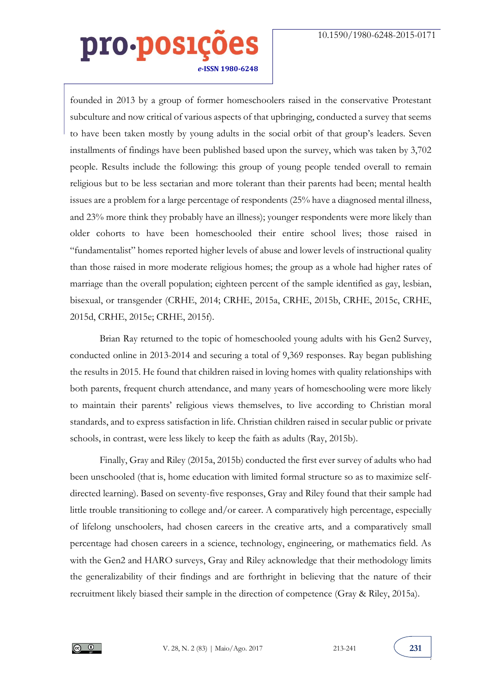founded in 2013 by a group of former homeschoolers raised in the conservative Protestant subculture and now critical of various aspects of that upbringing, conducted a survey that seems to have been taken mostly by young adults in the social orbit of that group's leaders. Seven installments of findings have been published based upon the survey, which was taken by 3,702 people. Results include the following: this group of young people tended overall to remain religious but to be less sectarian and more tolerant than their parents had been; mental health issues are a problem for a large percentage of respondents (25% have a diagnosed mental illness, and 23% more think they probably have an illness); younger respondents were more likely than older cohorts to have been homeschooled their entire school lives; those raised in "fundamentalist" homes reported higher levels of abuse and lower levels of instructional quality than those raised in more moderate religious homes; the group as a whole had higher rates of marriage than the overall population; eighteen percent of the sample identified as gay, lesbian, bisexual, or transgender (CRHE, 2014; CRHE, 2015a, CRHE, 2015b, CRHE, 2015c, CRHE, 2015d, CRHE, 2015e; CRHE, 2015f).

Brian Ray returned to the topic of homeschooled young adults with his Gen2 Survey, conducted online in 2013-2014 and securing a total of 9,369 responses. Ray began publishing the results in 2015. He found that children raised in loving homes with quality relationships with both parents, frequent church attendance, and many years of homeschooling were more likely to maintain their parents' religious views themselves, to live according to Christian moral standards, and to express satisfaction in life. Christian children raised in secular public or private schools, in contrast, were less likely to keep the faith as adults (Ray, 2015b).

Finally, Gray and Riley (2015a, 2015b) conducted the first ever survey of adults who had been unschooled (that is, home education with limited formal structure so as to maximize selfdirected learning). Based on seventy-five responses, Gray and Riley found that their sample had little trouble transitioning to college and/or career. A comparatively high percentage, especially of lifelong unschoolers, had chosen careers in the creative arts, and a comparatively small percentage had chosen careers in a science, technology, engineering, or mathematics field. As with the Gen2 and HARO surveys, Gray and Riley acknowledge that their methodology limits the generalizability of their findings and are forthright in believing that the nature of their recruitment likely biased their sample in the direction of competence (Gray & Riley, 2015a).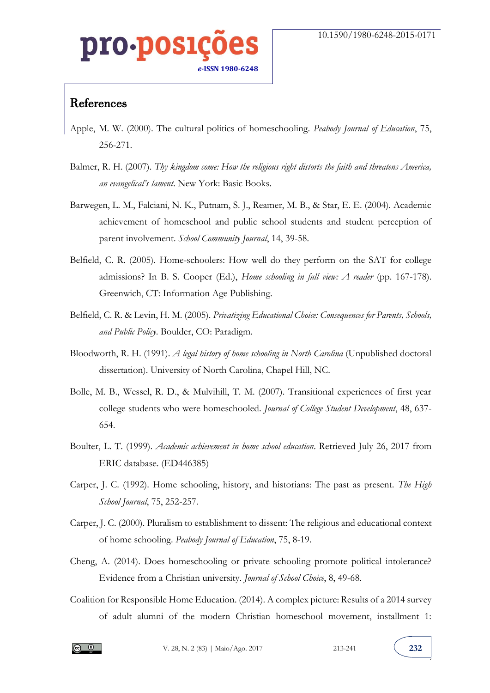### 0.DOS] *e-***ISSN 1980-6248**

#### References

- Apple, M. W. (2000). The cultural politics of homeschooling. *Peabody Journal of Education*, 75, 256-271.
- Balmer, R. H. (2007). *Thy kingdom come: How the religious right distorts the faith and threatens America, an evangelical's lament*. New York: Basic Books.
- Barwegen, L. M., Falciani, N. K., Putnam, S. J., Reamer, M. B., & Star, E. E. (2004). Academic achievement of homeschool and public school students and student perception of parent involvement. *School Community Journal*, 14, 39-58.
- Belfield, C. R. (2005). Home-schoolers: How well do they perform on the SAT for college admissions? In B. S. Cooper (Ed.), *Home schooling in full view: A reader* (pp. 167-178). Greenwich, CT: Information Age Publishing.
- Belfield, C. R. & Levin, H. M. (2005). *Privatizing Educational Choice: Consequences for Parents, Schools, and Public Policy*. Boulder, CO: Paradigm.
- Bloodworth, R. H. (1991). *A legal history of home schooling in North Carolina* (Unpublished doctoral dissertation). University of North Carolina, Chapel Hill, NC.
- Bolle, M. B., Wessel, R. D., & Mulvihill, T. M. (2007). Transitional experiences of first year college students who were homeschooled. *Journal of College Student Development*, 48, 637- 654.
- Boulter, L. T. (1999). *Academic achievement in home school education*. Retrieved July 26, 2017 from ERIC database. (ED446385)
- Carper, J. C. (1992). Home schooling, history, and historians: The past as present. *The High School Journal*, 75, 252-257.
- Carper, J. C. (2000). Pluralism to establishment to dissent: The religious and educational context of home schooling. *Peabody Journal of Education*, 75, 8-19.
- Cheng, A. (2014). Does homeschooling or private schooling promote political intolerance? Evidence from a Christian university. *Journal of School Choice*, 8, 49-68.
- Coalition for Responsible Home Education. (2014). A complex picture: Results of a 2014 survey of adult alumni of the modern Christian homeschool movement, installment 1: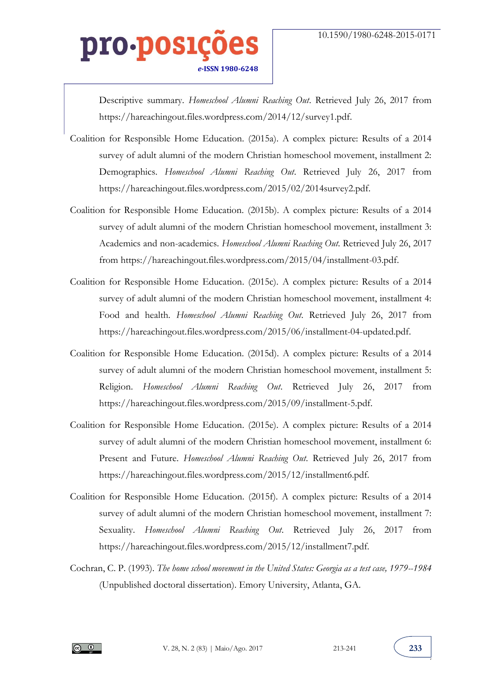Descriptive summary. *Homeschool Alumni Reaching Out*. Retrieved July 26, 2017 from https://hareachingout.files.wordpress.com/2014/12/survey1.pdf.

- Coalition for Responsible Home Education. (2015a). A complex picture: Results of a 2014 survey of adult alumni of the modern Christian homeschool movement, installment 2: Demographics. *Homeschool Alumni Reaching Out*. Retrieved July 26, 2017 from https://hareachingout.files.wordpress.com/2015/02/2014survey2.pdf.
- Coalition for Responsible Home Education. (2015b). A complex picture: Results of a 2014 survey of adult alumni of the modern Christian homeschool movement, installment 3: Academics and non-academics. *Homeschool Alumni Reaching Out*. Retrieved July 26, 2017 from https://hareachingout.files.wordpress.com/2015/04/installment-03.pdf.
- Coalition for Responsible Home Education. (2015c). A complex picture: Results of a 2014 survey of adult alumni of the modern Christian homeschool movement, installment 4: Food and health. *Homeschool Alumni Reaching Out*. Retrieved July 26, 2017 from https://hareachingout.files.wordpress.com/2015/06/installment-04-updated.pdf.
- Coalition for Responsible Home Education. (2015d). A complex picture: Results of a 2014 survey of adult alumni of the modern Christian homeschool movement, installment 5: Religion. *Homeschool Alumni Reaching Out*. Retrieved July 26, 2017 from https://hareachingout.files.wordpress.com/2015/09/installment-5.pdf.
- Coalition for Responsible Home Education. (2015e). A complex picture: Results of a 2014 survey of adult alumni of the modern Christian homeschool movement, installment 6: Present and Future. *Homeschool Alumni Reaching Out*. Retrieved July 26, 2017 from https://hareachingout.files.wordpress.com/2015/12/installment6.pdf.
- Coalition for Responsible Home Education. (2015f). A complex picture: Results of a 2014 survey of adult alumni of the modern Christian homeschool movement, installment 7: Sexuality. *Homeschool Alumni Reaching Out*. Retrieved July 26, 2017 from https://hareachingout.files.wordpress.com/2015/12/installment7.pdf.
- Cochran, C. P. (1993). *The home school movement in the United States: Georgia as a test case, 1979--1984* (Unpublished doctoral dissertation). Emory University, Atlanta, GA.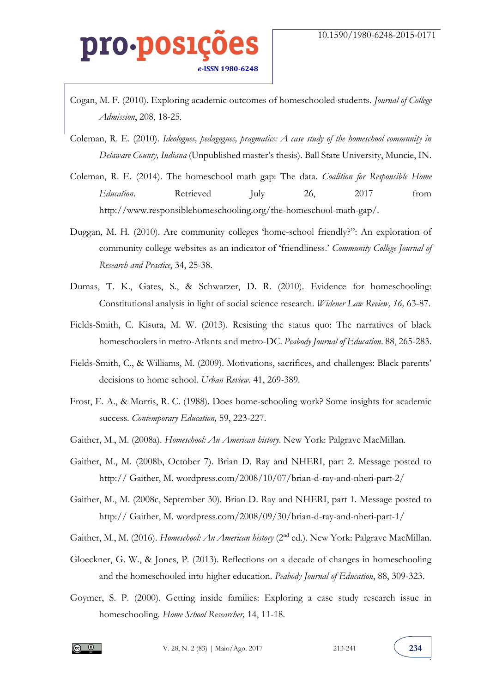- Cogan, M. F. (2010). Exploring academic outcomes of homeschooled students. *Journal of College Admission*, 208, 18-25.
- Coleman, R. E. (2010). *Ideologues, pedagogues, pragmatics: A case study of the homeschool community in Delaware County, Indiana* (Unpublished master's thesis). Ball State University, Muncie, IN.
- Coleman, R. E. (2014). The homeschool math gap: The data. *Coalition for Responsible Home Education*. Retrieved July 26, 2017 from http://www.responsiblehomeschooling.org/the-homeschool-math-gap/.
- Duggan, M. H. (2010). Are community colleges 'home-school friendly?": An exploration of community college websites as an indicator of 'friendliness.' *Community College Journal of Research and Practice*, 34, 25-38.
- Dumas, T. K., Gates, S., & Schwarzer, D. R. (2010). Evidence for homeschooling: Constitutional analysis in light of social science research. *Widener Law Review, 16,* 63-87.
- Fields-Smith, C. Kisura, M. W. (2013). Resisting the status quo: The narratives of black homeschoolers in metro-Atlanta and metro-DC. *Peabody Journal of Education*. 88, 265-283.
- Fields-Smith, C., & Williams, M. (2009). Motivations, sacrifices, and challenges: Black parents' decisions to home school. *Urban Review*. 41, 269-389.
- Frost, E. A., & Morris, R. C. (1988). Does home-schooling work? Some insights for academic success. *Contemporary Education,* 59, 223-227.
- Gaither, M., M. (2008a). *Homeschool: An American history*. New York: Palgrave MacMillan.
- Gaither, M., M. (2008b, October 7). Brian D. Ray and NHERI, part 2. Message posted to http:// Gaither, M. wordpress.com/2008/10/07/brian-d-ray-and-nheri-part-2/
- Gaither, M., M. (2008c, September 30). Brian D. Ray and NHERI, part 1. Message posted to http:// Gaither, M. wordpress.com/2008/09/30/brian-d-ray-and-nheri-part-1/
- Gaither, M., M. (2016). *Homeschool: An American history* (2nd ed.). New York: Palgrave MacMillan.
- Gloeckner, G. W., & Jones, P. (2013). Reflections on a decade of changes in homeschooling and the homeschooled into higher education. *Peabody Journal of Education*, 88, 309-323.
- Goymer, S. P. (2000). Getting inside families: Exploring a case study research issue in homeschooling. *Home School Researcher,* 14, 11-18.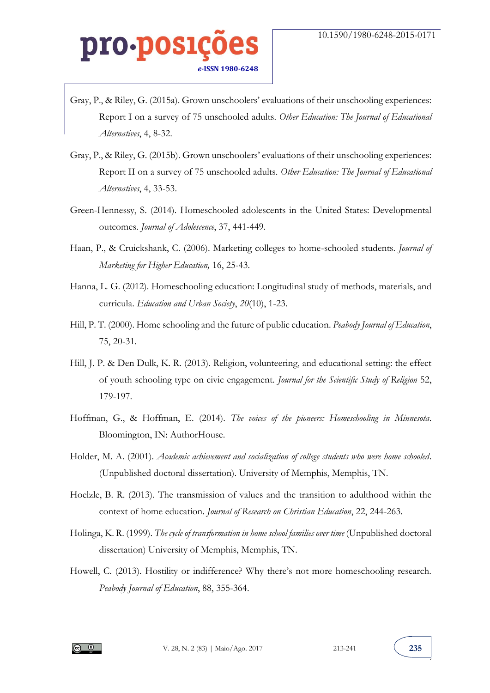- Gray, P., & Riley, G. (2015a). Grown unschoolers' evaluations of their unschooling experiences: Report I on a survey of 75 unschooled adults. *Other Education: The Journal of Educational Alternatives*, 4, 8-32.
- Gray, P., & Riley, G. (2015b). Grown unschoolers' evaluations of their unschooling experiences: Report II on a survey of 75 unschooled adults. *Other Education: The Journal of Educational Alternatives*, 4, 33-53.
- Green-Hennessy, S. (2014). Homeschooled adolescents in the United States: Developmental outcomes. *Journal of Adolescence*, 37, 441-449.
- Haan, P., & Cruickshank, C. (2006). Marketing colleges to home-schooled students. *Journal of Marketing for Higher Education,* 16, 25-43.
- Hanna, L. G. (2012). Homeschooling education: Longitudinal study of methods, materials, and curricula. *Education and Urban Society*, *20*(10), 1-23.
- Hill, P. T. (2000). Home schooling and the future of public education. *Peabody Journal of Education*, 75, 20-31.
- Hill, J. P. & Den Dulk, K. R. (2013). Religion, volunteering, and educational setting: the effect of youth schooling type on civic engagement. *Journal for the Scientific Study of Religion* 52, 179-197.
- Hoffman, G., & Hoffman, E. (2014). *The voices of the pioneers: Homeschooling in Minnesota*. Bloomington, IN: AuthorHouse.
- Holder, M. A. (2001). *Academic achievement and socialization of college students who were home schooled*. (Unpublished doctoral dissertation). University of Memphis, Memphis, TN.
- Hoelzle, B. R. (2013). The transmission of values and the transition to adulthood within the context of home education. *Journal of Research on Christian Education*, 22, 244-263.
- Holinga, K. R. (1999). *The cycle of transformation in home school families over time* (Unpublished doctoral dissertation) University of Memphis, Memphis, TN.
- Howell, C. (2013). Hostility or indifference? Why there's not more homeschooling research. *Peabody Journal of Education*, 88, 355-364.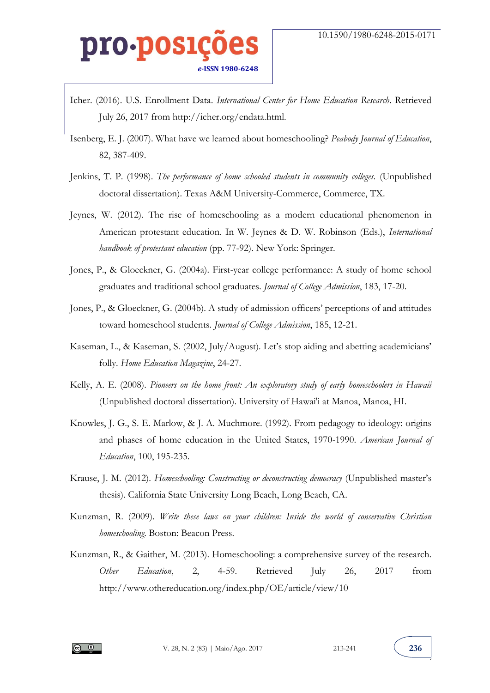- Icher. (2016). U.S. Enrollment Data. *International Center for Home Education Research*. Retrieved July 26, 2017 from http://icher.org/endata.html.
- Isenberg, E. J. (2007). What have we learned about homeschooling? *Peabody Journal of Education*, 82, 387-409.
- Jenkins, T. P. (1998). *The performance of home schooled students in community colleges.* (Unpublished doctoral dissertation). Texas A&M University-Commerce, Commerce, TX.
- Jeynes, W. (2012). The rise of homeschooling as a modern educational phenomenon in American protestant education. In W. Jeynes & D. W. Robinson (Eds.), *International handbook of protestant education* (pp. 77-92). New York: Springer.
- Jones, P., & Gloeckner, G. (2004a). First-year college performance: A study of home school graduates and traditional school graduates. *Journal of College Admission*, 183, 17-20.
- Jones, P., & Gloeckner, G. (2004b). A study of admission officers' perceptions of and attitudes toward homeschool students. *Journal of College Admission*, 185, 12-21.
- Kaseman, L., & Kaseman, S. (2002, July/August). Let's stop aiding and abetting academicians' folly. *Home Education Magazine*, 24-27.
- Kelly, A. E. (2008). *Pioneers on the home front: An exploratory study of early homeschoolers in Hawaii* (Unpublished doctoral dissertation). University of Hawai'i at Manoa, Manoa, HI.
- Knowles, J. G., S. E. Marlow, & J. A. Muchmore. (1992). From pedagogy to ideology: origins and phases of home education in the United States, 1970-1990. *American Journal of Education*, 100, 195-235.
- Krause, J. M. (2012). *Homeschooling: Constructing or deconstructing democracy* (Unpublished master's thesis). California State University Long Beach, Long Beach, CA.
- Kunzman, R. (2009). *Write these laws on your children: Inside the world of conservative Christian homeschooling*. Boston: Beacon Press.
- Kunzman, R., & Gaither, M. (2013). Homeschooling: a comprehensive survey of the research. *Other Education*, 2, 4-59. Retrieved July 26, 2017 from http://www.othereducation.org/index.php/OE/article/view/10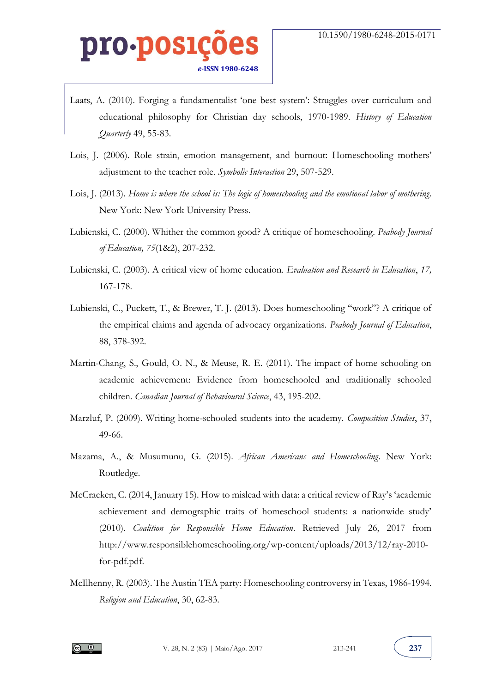- Laats, A. (2010). Forging a fundamentalist 'one best system': Struggles over curriculum and educational philosophy for Christian day schools, 1970-1989. *History of Education Quarterly* 49, 55-83.
- Lois, J. (2006). Role strain, emotion management, and burnout: Homeschooling mothers' adjustment to the teacher role. *Symbolic Interaction* 29, 507-529.
- Lois, J. (2013). *Home is where the school is: The logic of homeschooling and the emotional labor of mothering*. New York: New York University Press.
- Lubienski, C. (2000). Whither the common good? A critique of homeschooling. *Peabody Journal of Education, 75*(1&2), 207-232.
- Lubienski, C. (2003). A critical view of home education. *Evaluation and Research in Education*, *17,*  167-178.
- Lubienski, C., Puckett, T., & Brewer, T. J. (2013). Does homeschooling "work"? A critique of the empirical claims and agenda of advocacy organizations. *Peabody Journal of Education*, 88, 378-392.
- Martin-Chang, S., Gould, O. N., & Meuse, R. E. (2011). The impact of home schooling on academic achievement: Evidence from homeschooled and traditionally schooled children. *Canadian Journal of Behavioural Science*, 43, 195-202.
- Marzluf, P. (2009). Writing home-schooled students into the academy. *Composition Studies*, 37, 49-66.
- Mazama, A., & Musumunu, G. (2015). *African Americans and Homeschooling*. New York: Routledge.
- McCracken, C. (2014, January 15). How to mislead with data: a critical review of Ray's 'academic achievement and demographic traits of homeschool students: a nationwide study' (2010). *Coalition for Responsible Home Education*. Retrieved July 26, 2017 from http://www.responsiblehomeschooling.org/wp-content/uploads/2013/12/ray-2010 for-pdf.pdf.
- McIlhenny, R. (2003). The Austin TEA party: Homeschooling controversy in Texas, 1986-1994. *Religion and Education*, 30, 62-83.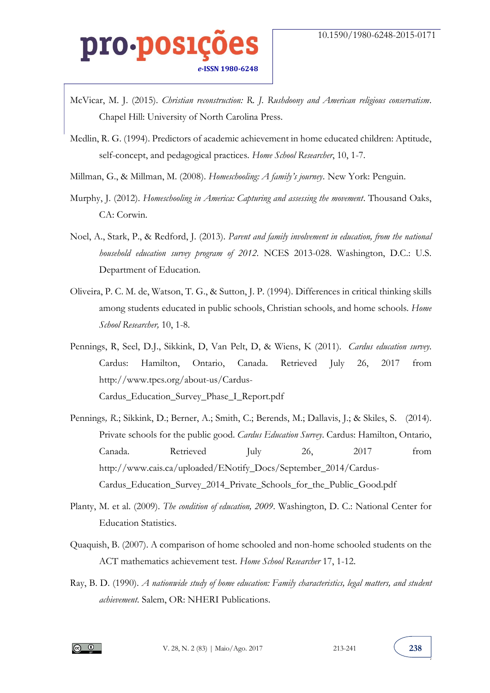- McVicar, M. J. (2015). *Christian reconstruction: R. J. Rushdoony and American religious conservatism*. Chapel Hill: University of North Carolina Press.
- Medlin, R. G. (1994). Predictors of academic achievement in home educated children: Aptitude, self-concept, and pedagogical practices. *Home School Researcher*, 10, 1-7.
- Millman, G., & Millman, M. (2008). *Homeschooling: A family's journey.* New York: Penguin.
- Murphy, J. (2012). *Homeschooling in America: Capturing and assessing the movement*. Thousand Oaks, CA: Corwin.
- Noel, A., Stark, P., & Redford, J. (2013). *Parent and family involvement in education, from the national household education survey program of 2012*. NCES 2013-028. Washington, D.C.: U.S. Department of Education.
- Oliveira, P. C. M. de, Watson, T. G., & Sutton, J. P. (1994). Differences in critical thinking skills among students educated in public schools, Christian schools, and home schools. *Home School Researcher,* 10, 1-8.
- Pennings, R, Seel, D.J., Sikkink, D, Van Pelt, D, & Wiens, K (2011). *Cardus education survey*. Cardus: Hamilton, Ontario, Canada. Retrieved July 26, 2017 from http://www.tpcs.org/about-us/Cardus-Cardus\_Education\_Survey\_Phase\_I\_Report.pdf
- Pennings*, R*.; Sikkink, D.; Berner, A.; Smith, C.; Berends, M.; Dallavis, J.; & Skiles, S. (2014). Private schools for the public good. *Cardus Education Survey*. Cardus: Hamilton, Ontario, Canada. Retrieved July 26, 2017 from http://www.cais.ca/uploaded/ENotify\_Docs/September\_2014/Cardus-Cardus\_Education\_Survey\_2014\_Private\_Schools\_for\_the\_Public\_Good.pdf
- Planty, M. et al. (2009). *The condition of education, 2009*. Washington, D. C.: National Center for Education Statistics.
- Quaquish, B. (2007). A comparison of home schooled and non-home schooled students on the ACT mathematics achievement test. *Home School Researcher* 17, 1-12.
- Ray, B. D. (1990). *A nationwide study of home education: Family characteristics, legal matters, and student achievement*. Salem, OR: NHERI Publications.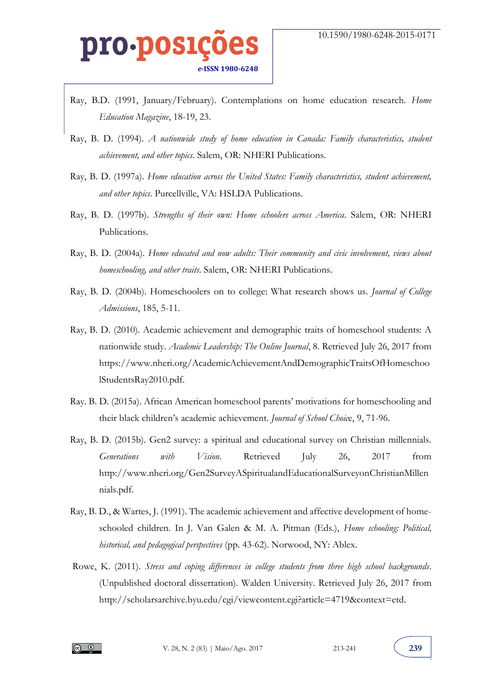- Ray, B.D. (1991, January/February). Contemplations on home education research. *Home Education Magazine*, 18-19, 23.
- Ray, B. D. (1994). *A nationwide study of home education in Canada: Family characteristics, student achievement, and other topics*. Salem, OR: NHERI Publications.
- Ray, B. D. (1997a). *Home education across the United States: Family characteristics, student achievement, and other topics*. Purcellville, VA: HSLDA Publications.
- Ray, B. D. (1997b). *Strengths of their own: Home schoolers across America*. Salem, OR: NHERI Publications.
- Ray, B. D. (2004a). *Home educated and now adults: Their community and civic involvement, views about homeschooling, and other traits*. Salem, OR: NHERI Publications.
- Ray, B. D. (2004b). Homeschoolers on to college: What research shows us. *Journal of College Admissions*, 185, 5-11.
- Ray, B. D. (2010). Academic achievement and demographic traits of homeschool students: A nationwide study. *Academic Leadership: The Online Journal*, 8. Retrieved July 26, 2017 from https://www.nheri.org/AcademicAchievementAndDemographicTraitsOfHomeschoo lStudentsRay2010.pdf.
- Ray. B. D. (2015a). African American homeschool parents' motivations for homeschooling and their black children's academic achievement. *Journal of School Choic*e, 9, 71-96.
- Ray, B. D. (2015b). Gen2 survey: a spiritual and educational survey on Christian millennials. *Generations with Vision*. Retrieved July 26, 2017 from http://www.nheri.org/Gen2SurveyASpiritualandEducationalSurveyonChristianMillen nials.pdf.
- Ray, B. D., & Wartes, J. (1991). The academic achievement and affective development of homeschooled children. In J. Van Galen & M. A. Pitman (Eds.), *Home schooling: Political, historical, and pedagogical perspectives* (pp. 43-62). Norwood, NY: Ablex.
- Rowe, K. (2011). *Stress and coping differences in college students from three high school backgrounds*. (Unpublished doctoral dissertation). Walden University. Retrieved July 26, 2017 from http://scholarsarchive.byu.edu/cgi/viewcontent.cgi?article=4719&context=etd.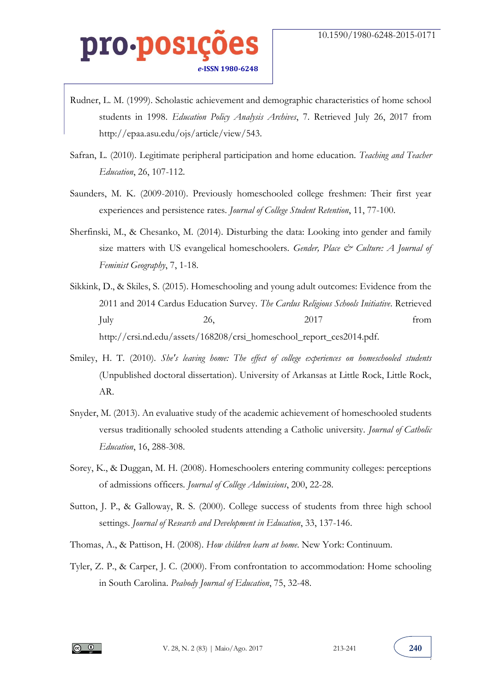- Rudner, L. M. (1999). Scholastic achievement and demographic characteristics of home school students in 1998. *Education Policy Analysis Archives*, 7. Retrieved July 26, 2017 from http://epaa.asu.edu/ojs/article/view/543.
- Safran, L. (2010). Legitimate peripheral participation and home education. *Teaching and Teacher Education*, 26, 107-112.
- Saunders, M. K. (2009-2010). Previously homeschooled college freshmen: Their first year experiences and persistence rates. *Journal of College Student Retention*, 11, 77-100.
- Sherfinski, M., & Chesanko, M. (2014). Disturbing the data: Looking into gender and family size matters with US evangelical homeschoolers. *Gender, Place & Culture: A Journal of Feminist Geography*, 7, 1-18.
- Sikkink, D., & Skiles, S. (2015). Homeschooling and young adult outcomes: Evidence from the 2011 and 2014 Cardus Education Survey. *The Cardus Religious Schools Initiative*. Retrieved July 26, 2017 from http://crsi.nd.edu/assets/168208/crsi\_homeschool\_report\_ces2014.pdf.
- Smiley, H. T. (2010). *She's leaving home: The effect of college experiences on homeschooled students*  (Unpublished doctoral dissertation). University of Arkansas at Little Rock, Little Rock, AR.
- Snyder, M. (2013). An evaluative study of the academic achievement of homeschooled students versus traditionally schooled students attending a Catholic university. *Journal of Catholic Education*, 16, 288-308.
- Sorey, K., & Duggan, M. H. (2008). Homeschoolers entering community colleges: perceptions of admissions officers. *Journal of College Admissions*, 200, 22-28.
- Sutton, J. P., & Galloway, R. S. (2000). College success of students from three high school settings. *Journal of Research and Development in Education*, 33, 137-146.
- Thomas, A., & Pattison, H. (2008). *How children learn at home*. New York: Continuum.
- Tyler, Z. P., & Carper, J. C. (2000). From confrontation to accommodation: Home schooling in South Carolina. *Peabody Journal of Education*, 75, 32-48.